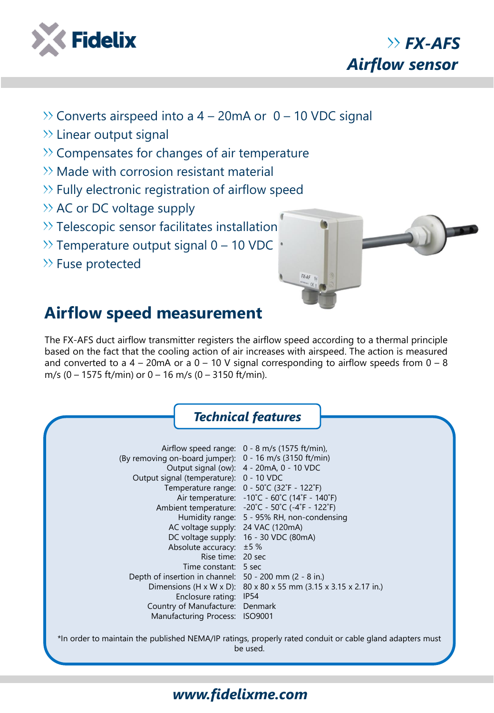

*FX-AFS Airflow sensor*

- $\gg$  Converts airspeed into a 4 20mA or 0 10 VDC signal
- $\gg$  Linear output signal
- $\gg$  Compensates for changes of air temperature
- $\gg$  Made with corrosion resistant material
- $\gg$  Fully electronic registration of airflow speed
- $\rightarrow$  AC or DC voltage supply
- $\gg$  Telescopic sensor facilitates installation
- $\gg$  Temperature output signal 0 10 VDC
- $\gg$  Fuse protected



## **Airflow speed measurement**

The FX-AFS duct airflow transmitter registers the airflow speed according to a thermal principle based on the fact that the cooling action of air increases with airspeed. The action is measured and converted to a  $4 - 20$ mA or a  $0 - 10$  V signal corresponding to airflow speeds from  $0 - 8$ m/s  $(0 - 1575 \text{ ft/min})$  or  $0 - 16 \text{ m/s}$   $(0 - 3150 \text{ ft/min})$ .



## *www.fidelixme.com*